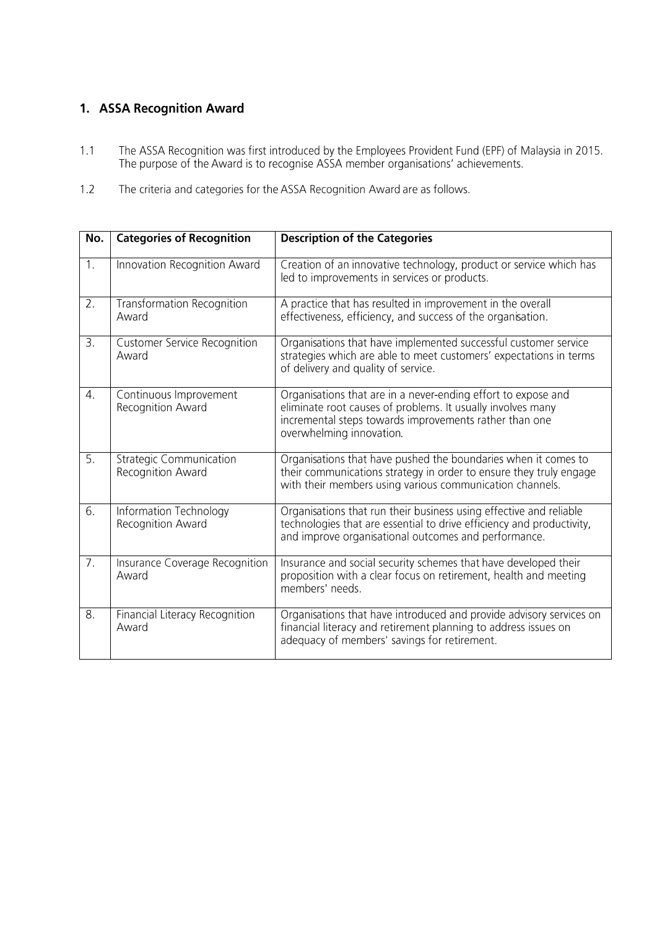## 1. ASSA Recognition Award

- The ASSA Recognition was first introduced by the Employees Provident Fund (EPF) of Malaysia in 2015.<br>The purpose of the Award is to recognise ASSA member organisations' achievements.  $1.1$
- $1.2$ The criteria and categories for the ASSA Recognition Award are as follows.

| No.              | <b>Categories of Recognition</b>                    | <b>Description of the Categories</b>                                                                                                                                                                               |
|------------------|-----------------------------------------------------|--------------------------------------------------------------------------------------------------------------------------------------------------------------------------------------------------------------------|
| 1.               | Innovation Recognition Award                        | Creation of an innovative technology, product or service which has<br>led to improvements in services or products.                                                                                                 |
| 2.               | <b>Transformation Recognition</b><br>Award          | A practice that has resulted in improvement in the overall<br>effectiveness, efficiency, and success of the organisation.                                                                                          |
| $\overline{3}$ . | <b>Customer Service Recognition</b><br>Award        | Organisations that have implemented successful customer service<br>strategies which are able to meet customers' expectations in terms<br>of delivery and quality of service.                                       |
| 4.               | Continuous Improvement<br>Recognition Award         | Organisations that are in a never-ending effort to expose and<br>eliminate root causes of problems. It usually involves many<br>incremental steps towards improvements rather than one<br>overwhelming innovation. |
| 5.               | <b>Strategic Communication</b><br>Recognition Award | Organisations that have pushed the boundaries when it comes to<br>their communications strategy in order to ensure they truly engage<br>with their members using various communication channels.                   |
| $\overline{6}$ . | Information Technology<br>Recognition Award         | Organisations that run their business using effective and reliable<br>technologies that are essential to drive efficiency and productivity,<br>and improve organisational outcomes and performance.                |
| $\overline{7}$ . | Insurance Coverage Recognition<br>Award             | Insurance and social security schemes that have developed their<br>proposition with a clear focus on retirement, health and meeting<br>members' needs.                                                             |
| $\overline{8}$ . | Financial Literacy Recognition<br>Award             | Organisations that have introduced and provide advisory services on<br>financial literacy and retirement planning to address issues on<br>adequacy of members' savings for retirement.                             |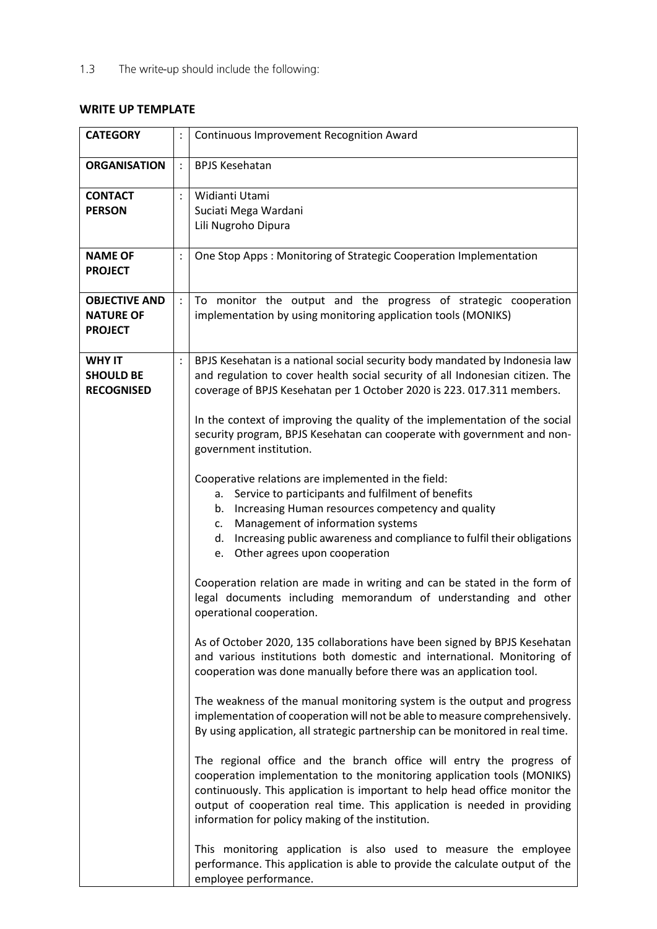The write-up should include the following:  $1.3$ 

## **WRITE UP TEMPLATE**

| <b>CATEGORY</b>                                            |                            | <b>Continuous Improvement Recognition Award</b>                                                                                                                                                                                                                                                                                                                 |
|------------------------------------------------------------|----------------------------|-----------------------------------------------------------------------------------------------------------------------------------------------------------------------------------------------------------------------------------------------------------------------------------------------------------------------------------------------------------------|
| <b>ORGANISATION</b>                                        |                            | <b>BPJS Kesehatan</b>                                                                                                                                                                                                                                                                                                                                           |
| <b>CONTACT</b><br><b>PERSON</b><br><b>NAME OF</b>          | $\vdots$<br>$\ddot{\cdot}$ | Widianti Utami<br>Suciati Mega Wardani<br>Lili Nugroho Dipura<br>One Stop Apps: Monitoring of Strategic Cooperation Implementation                                                                                                                                                                                                                              |
| <b>PROJECT</b>                                             |                            |                                                                                                                                                                                                                                                                                                                                                                 |
| <b>OBJECTIVE AND</b><br><b>NATURE OF</b><br><b>PROJECT</b> |                            | To monitor the output and the progress of strategic cooperation<br>implementation by using monitoring application tools (MONIKS)                                                                                                                                                                                                                                |
| <b>WHY IT</b><br><b>SHOULD BE</b><br><b>RECOGNISED</b>     |                            | BPJS Kesehatan is a national social security body mandated by Indonesia law<br>and regulation to cover health social security of all Indonesian citizen. The<br>coverage of BPJS Kesehatan per 1 October 2020 is 223. 017.311 members.                                                                                                                          |
|                                                            |                            | In the context of improving the quality of the implementation of the social<br>security program, BPJS Kesehatan can cooperate with government and non-<br>government institution.                                                                                                                                                                               |
|                                                            |                            | Cooperative relations are implemented in the field:<br>a. Service to participants and fulfilment of benefits<br>Increasing Human resources competency and quality<br>b.<br>Management of information systems<br>c.<br>Increasing public awareness and compliance to fulfil their obligations<br>d.<br>e. Other agrees upon cooperation                          |
|                                                            |                            | Cooperation relation are made in writing and can be stated in the form of<br>legal documents including memorandum of understanding and other<br>operational cooperation.                                                                                                                                                                                        |
|                                                            |                            | As of October 2020, 135 collaborations have been signed by BPJS Kesehatan<br>and various institutions both domestic and international. Monitoring of<br>cooperation was done manually before there was an application tool.                                                                                                                                     |
|                                                            |                            | The weakness of the manual monitoring system is the output and progress<br>implementation of cooperation will not be able to measure comprehensively.<br>By using application, all strategic partnership can be monitored in real time.                                                                                                                         |
|                                                            |                            | The regional office and the branch office will entry the progress of<br>cooperation implementation to the monitoring application tools (MONIKS)<br>continuously. This application is important to help head office monitor the<br>output of cooperation real time. This application is needed in providing<br>information for policy making of the institution. |
|                                                            |                            | This monitoring application is also used to measure the employee<br>performance. This application is able to provide the calculate output of the<br>employee performance.                                                                                                                                                                                       |